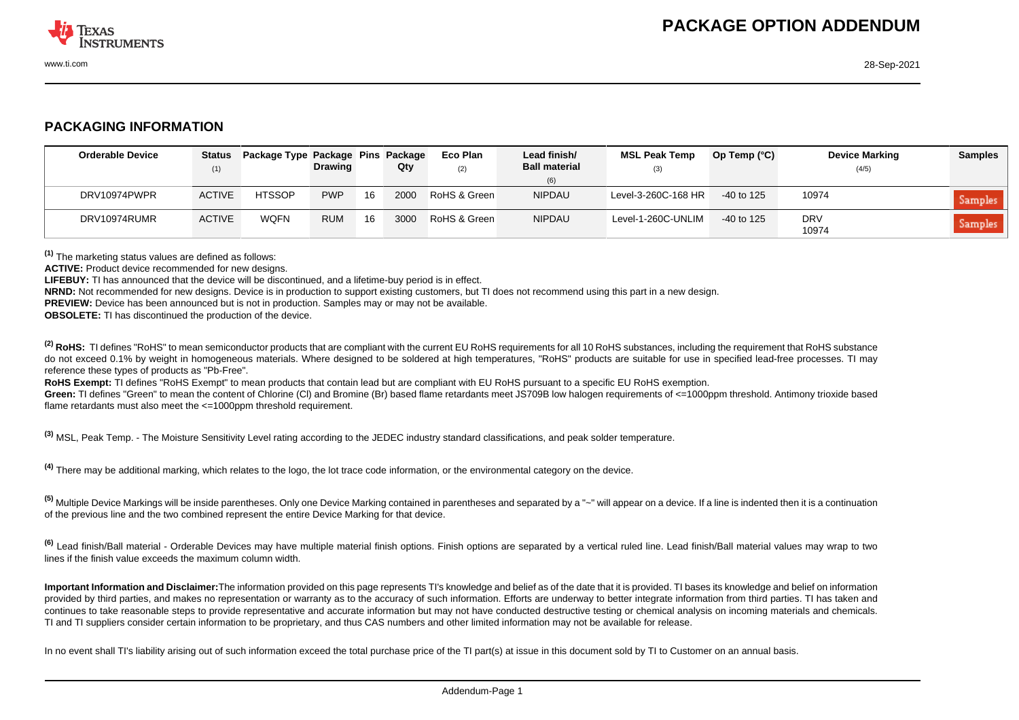

## **PACKAGING INFORMATION**

| <b>Orderable Device</b> | <b>Status</b><br>(1) | Package Type Package Pins Package | <b>Drawing</b> |    | Qty  | <b>Eco Plan</b><br>(2) | Lead finish/<br><b>Ball material</b> | <b>MSL Peak Temp</b><br>(3) | Op Temp $(^{\circ}C)$ | <b>Device Marking</b><br>(4/5) | <b>Samples</b> |
|-------------------------|----------------------|-----------------------------------|----------------|----|------|------------------------|--------------------------------------|-----------------------------|-----------------------|--------------------------------|----------------|
|                         |                      |                                   |                |    |      |                        | (6)                                  |                             |                       |                                |                |
| DRV10974PWPR            | <b>ACTIVE</b>        | <b>HTSSOP</b>                     | <b>PWP</b>     | 16 | 2000 | RoHS & Green           | <b>NIPDAU</b>                        | Level-3-260C-168 HR         | $-40$ to 125          | 10974                          | <b>Samples</b> |
| DRV10974RUMR            | <b>ACTIVE</b>        | <b>WQFN</b>                       | <b>RUM</b>     | 16 | 3000 | RoHS & Green           | <b>NIPDAU</b>                        | Level-1-260C-UNLIM          | $-40$ to 125          | <b>DRV</b><br>10974            | <b>Samples</b> |

**(1)** The marketing status values are defined as follows:

**ACTIVE:** Product device recommended for new designs.

**LIFEBUY:** TI has announced that the device will be discontinued, and a lifetime-buy period is in effect.

**NRND:** Not recommended for new designs. Device is in production to support existing customers, but TI does not recommend using this part in a new design.

**PREVIEW:** Device has been announced but is not in production. Samples may or may not be available.

**OBSOLETE:** TI has discontinued the production of the device.

<sup>(2)</sup> RoHS: TI defines "RoHS" to mean semiconductor products that are compliant with the current EU RoHS requirements for all 10 RoHS substances, including the requirement that RoHS substance do not exceed 0.1% by weight in homogeneous materials. Where designed to be soldered at high temperatures. "RoHS" products are suitable for use in specified lead-free processes. TI may reference these types of products as "Pb-Free".

RoHS Exempt: TI defines "RoHS Exempt" to mean products that contain lead but are compliant with EU RoHS pursuant to a specific EU RoHS exemption.

Green: TI defines "Green" to mean the content of Chlorine (CI) and Bromine (Br) based flame retardants meet JS709B low halogen requirements of <=1000ppm threshold. Antimony trioxide based flame retardants must also meet the  $\leq 1000$ ppm threshold requirement.

**(3)** MSL, Peak Temp. - The Moisture Sensitivity Level rating according to the JEDEC industry standard classifications, and peak solder temperature.

**(4)** There may be additional marking, which relates to the logo, the lot trace code information, or the environmental category on the device.

**(5)** Multiple Device Markings will be inside parentheses. Only one Device Marking contained in parentheses and separated by a "~" will appear on a device. If a line is indented then it is a continuation of the previous line and the two combined represent the entire Device Marking for that device.

**(6)** Lead finish/Ball material - Orderable Devices may have multiple material finish options. Finish options are separated by a vertical ruled line. Lead finish/Ball material values may wrap to two lines if the finish value exceeds the maximum column width.

**Important Information and Disclaimer:**The information provided on this page represents TI's knowledge and belief as of the date that it is provided. TI bases its knowledge and belief on information provided by third parties, and makes no representation or warranty as to the accuracy of such information. Efforts are underway to better integrate information from third parties. TI has taken and continues to take reasonable steps to provide representative and accurate information but may not have conducted destructive testing or chemical analysis on incoming materials and chemicals. TI and TI suppliers consider certain information to be proprietary, and thus CAS numbers and other limited information may not be available for release.

In no event shall TI's liability arising out of such information exceed the total purchase price of the TI part(s) at issue in this document sold by TI to Customer on an annual basis.